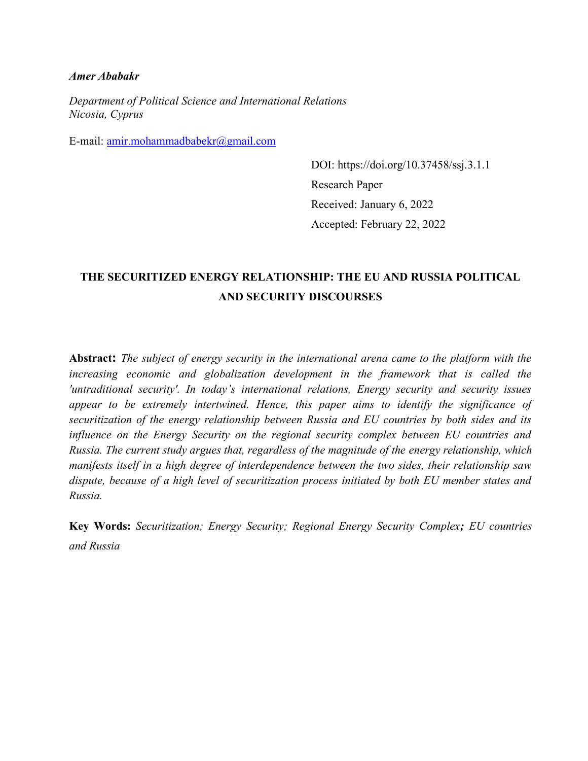## *Amer Ababakr*

*Department of Political Science and International Relations Nicosia, Cyprus* 

E-mail: [amir.mohammadbabekr@gmail.com](mailto:amir.mohammadbabekr@gmail.com)

DOI: https://doi.org/10.37458/ssj.3.1.1 Research Paper Received: January 6, 2022 Accepted: February 22, 2022

# **THE SECURITIZED ENERGY RELATIONSHIP: THE EU AND RUSSIA POLITICAL AND SECURITY DISCOURSES**

**Abstract:** *The subject of energy security in the international arena came to the platform with the increasing economic and globalization development in the framework that is called the 'untraditional security'. In today's international relations, Energy security and security issues appear to be extremely intertwined. Hence, this paper aims to identify the significance of securitization of the energy relationship between Russia and EU countries by both sides and its influence on the Energy Security on the regional security complex between EU countries and Russia. The current study argues that, regardless of the magnitude of the energy relationship, which manifests itself in a high degree of interdependence between the two sides, their relationship saw dispute, because of a high level of securitization process initiated by both EU member states and Russia.*

**Key Words:** *Securitization; Energy Security; Regional Energy Security Complex; EU countries and Russia*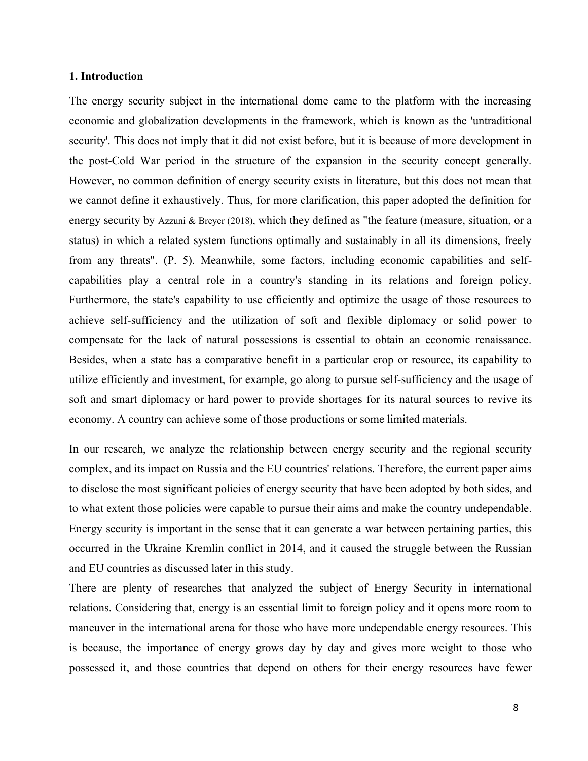### **1. Introduction**

The energy security subject in the international dome came to the platform with the increasing economic and globalization developments in the framework, which is known as the 'untraditional security'. This does not imply that it did not exist before, but it is because of more development in the post-Cold War period in the structure of the expansion in the security concept generally. However, no common definition of energy security exists in literature, but this does not mean that we cannot define it exhaustively. Thus, for more clarification, this paper adopted the definition for energy security by Azzuni & Breyer (2018), which they defined as "the feature (measure, situation, or a status) in which a related system functions optimally and sustainably in all its dimensions, freely from any threats". (P. 5). Meanwhile, some factors, including economic capabilities and selfcapabilities play a central role in a country's standing in its relations and foreign policy. Furthermore, the state's capability to use efficiently and optimize the usage of those resources to achieve self-sufficiency and the utilization of soft and flexible diplomacy or solid power to compensate for the lack of natural possessions is essential to obtain an economic renaissance. Besides, when a state has a comparative benefit in a particular crop or resource, its capability to utilize efficiently and investment, for example, go along to pursue self-sufficiency and the usage of soft and smart diplomacy or hard power to provide shortages for its natural sources to revive its economy. A country can achieve some of those productions or some limited materials.

In our research, we analyze the relationship between energy security and the regional security complex, and its impact on Russia and the EU countries' relations. Therefore, the current paper aims to disclose the most significant policies of energy security that have been adopted by both sides, and to what extent those policies were capable to pursue their aims and make the country undependable. Energy security is important in the sense that it can generate a war between pertaining parties, this occurred in the Ukraine Kremlin conflict in 2014, and it caused the struggle between the Russian and EU countries as discussed later in this study.

There are plenty of researches that analyzed the subject of Energy Security in international relations. Considering that, energy is an essential limit to foreign policy and it opens more room to maneuver in the international arena for those who have more undependable energy resources. This is because, the importance of energy grows day by day and gives more weight to those who possessed it, and those countries that depend on others for their energy resources have fewer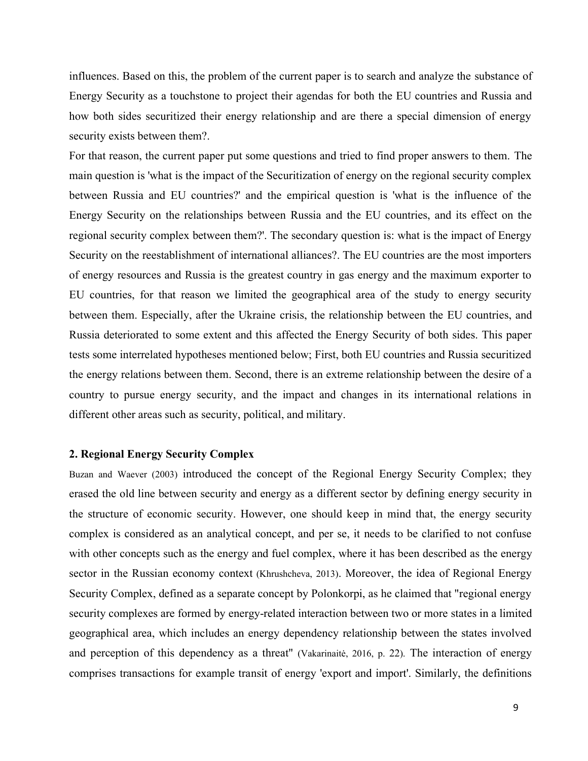influences. Based on this, the problem of the current paper is to search and analyze the substance of Energy Security as a touchstone to project their agendas for both the EU countries and Russia and how both sides securitized their energy relationship and are there a special dimension of energy security exists between them?.

For that reason, the current paper put some questions and tried to find proper answers to them. The main question is 'what is the impact of the Securitization of energy on the regional security complex between Russia and EU countries?' and the empirical question is 'what is the influence of the Energy Security on the relationships between Russia and the EU countries, and its effect on the regional security complex between them?'. The secondary question is: what is the impact of Energy Security on the reestablishment of international alliances?. The EU countries are the most importers of energy resources and Russia is the greatest country in gas energy and the maximum exporter to EU countries, for that reason we limited the geographical area of the study to energy security between them. Especially, after the Ukraine crisis, the relationship between the EU countries, and Russia deteriorated to some extent and this affected the Energy Security of both sides. This paper tests some interrelated hypotheses mentioned below; First, both EU countries and Russia securitized the energy relations between them. Second, there is an extreme relationship between the desire of a country to pursue energy security, and the impact and changes in its international relations in different other areas such as security, political, and military.

### **2. Regional Energy Security Complex**

Buzan and Waever (2003) introduced the concept of the Regional Energy Security Complex; they erased the old line between security and energy as a different sector by defining energy security in the structure of economic security. However, one should keep in mind that, the energy security complex is considered as an analytical concept, and per se, it needs to be clarified to not confuse with other concepts such as the energy and fuel complex, where it has been described as the energy sector in the Russian economy context (Khrushcheva, 2013). Moreover, the idea of Regional Energy Security Complex, defined as a separate concept by Polonkorpi, as he claimed that "regional energy security complexes are formed by energy-related interaction between two or more states in a limited geographical area, which includes an energy dependency relationship between the states involved and perception of this dependency as a threat" (Vakarinaitė, 2016, p. 22). The interaction of energy comprises transactions for example transit of energy 'export and import'. Similarly, the definitions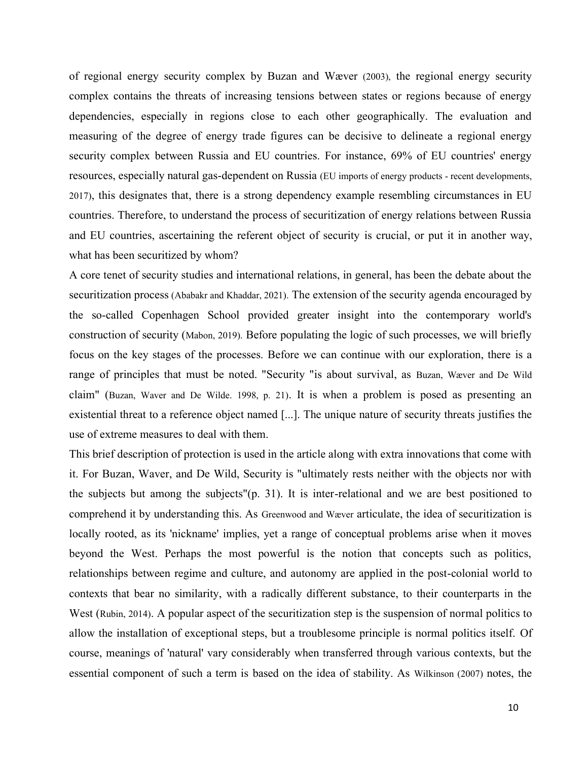of regional energy security complex by Buzan and Wæver (2003), the regional energy security complex contains the threats of increasing tensions between states or regions because of energy dependencies, especially in regions close to each other geographically. The evaluation and measuring of the degree of energy trade figures can be decisive to delineate a regional energy security complex between Russia and EU countries. For instance, 69% of EU countries' energy resources, especially natural gas-dependent on Russia (EU imports of energy products - recent developments, 2017), this designates that, there is a strong dependency example resembling circumstances in EU countries. Therefore, to understand the process of securitization of energy relations between Russia and EU countries, ascertaining the referent object of security is crucial, or put it in another way, what has been securitized by whom?

A core tenet of security studies and international relations, in general, has been the debate about the securitization process (Ababakr and Khaddar, 2021). The extension of the security agenda encouraged by the so-called Copenhagen School provided greater insight into the contemporary world's construction of security (Mabon, 2019). Before populating the logic of such processes, we will briefly focus on the key stages of the processes. Before we can continue with our exploration, there is a range of principles that must be noted. "Security "is about survival, as Buzan, Wæver and De Wild claim" (Buzan, Waver and De Wilde. 1998, p. 21). It is when a problem is posed as presenting an existential threat to a reference object named [...]. The unique nature of security threats justifies the use of extreme measures to deal with them.

This brief description of protection is used in the article along with extra innovations that come with it. For Buzan, Waver, and De Wild, Security is "ultimately rests neither with the objects nor with the subjects but among the subjects" $(p, 31)$ . It is inter-relational and we are best positioned to comprehend it by understanding this. As Greenwood and Wæver articulate, the idea of securitization is locally rooted, as its 'nickname' implies, yet a range of conceptual problems arise when it moves beyond the West. Perhaps the most powerful is the notion that concepts such as politics, relationships between regime and culture, and autonomy are applied in the post-colonial world to contexts that bear no similarity, with a radically different substance, to their counterparts in the West (Rubin, 2014). A popular aspect of the securitization step is the suspension of normal politics to allow the installation of exceptional steps, but a troublesome principle is normal politics itself. Of course, meanings of 'natural' vary considerably when transferred through various contexts, but the essential component of such a term is based on the idea of stability. As Wilkinson (2007) notes, the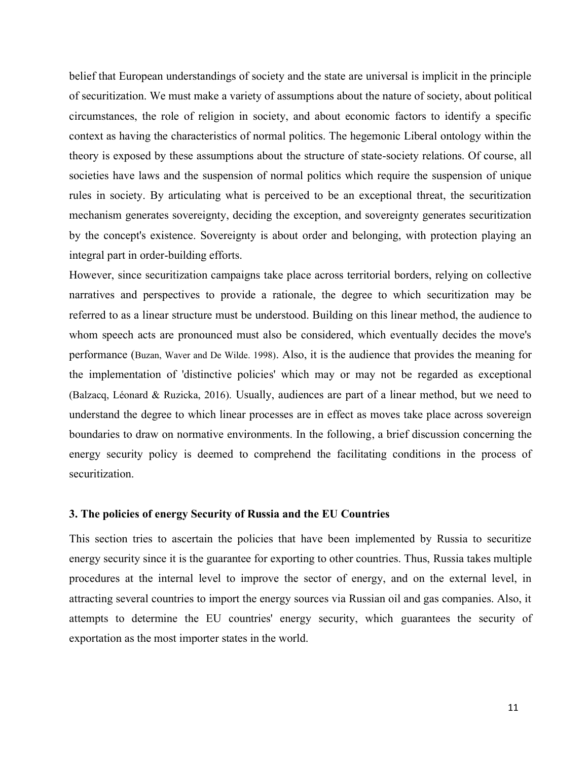belief that European understandings of society and the state are universal is implicit in the principle of securitization. We must make a variety of assumptions about the nature of society, about political circumstances, the role of religion in society, and about economic factors to identify a specific context as having the characteristics of normal politics. The hegemonic Liberal ontology within the theory is exposed by these assumptions about the structure of state-society relations. Of course, all societies have laws and the suspension of normal politics which require the suspension of unique rules in society. By articulating what is perceived to be an exceptional threat, the securitization mechanism generates sovereignty, deciding the exception, and sovereignty generates securitization by the concept's existence. Sovereignty is about order and belonging, with protection playing an integral part in order-building efforts.

However, since securitization campaigns take place across territorial borders, relying on collective narratives and perspectives to provide a rationale, the degree to which securitization may be referred to as a linear structure must be understood. Building on this linear method, the audience to whom speech acts are pronounced must also be considered, which eventually decides the move's performance (Buzan, Waver and De Wilde. 1998). Also, it is the audience that provides the meaning for the implementation of 'distinctive policies' which may or may not be regarded as exceptional (Balzacq, Léonard & Ruzicka, 2016). Usually, audiences are part of a linear method, but we need to understand the degree to which linear processes are in effect as moves take place across sovereign boundaries to draw on normative environments. In the following, a brief discussion concerning the energy security policy is deemed to comprehend the facilitating conditions in the process of securitization.

### **3. The policies of energy Security of Russia and the EU Countries**

This section tries to ascertain the policies that have been implemented by Russia to securitize energy security since it is the guarantee for exporting to other countries. Thus, Russia takes multiple procedures at the internal level to improve the sector of energy, and on the external level, in attracting several countries to import the energy sources via Russian oil and gas companies. Also, it attempts to determine the EU countries' energy security, which guarantees the security of exportation as the most importer states in the world.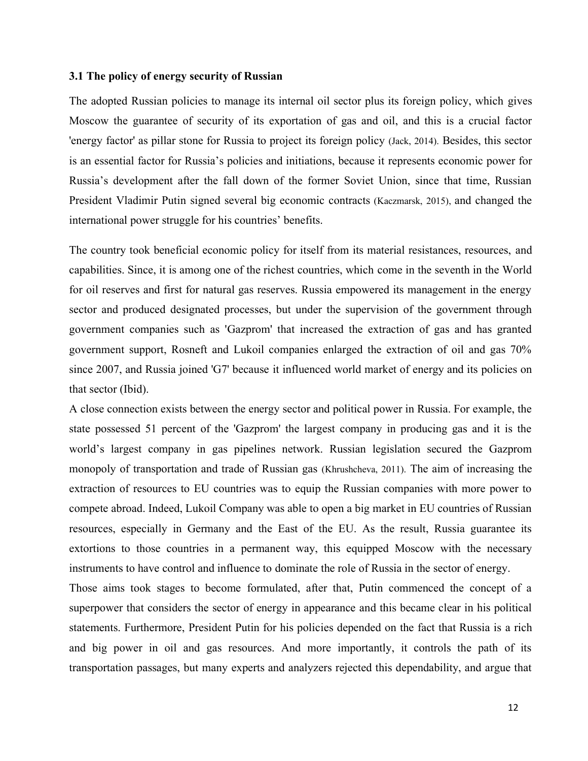#### **3.1 The policy of energy security of Russian**

The adopted Russian policies to manage its internal oil sector plus its foreign policy, which gives Moscow the guarantee of security of its exportation of gas and oil, and this is a crucial factor 'energy factor' as pillar stone for Russia to project its foreign policy (Jack, 2014). Besides, this sector is an essential factor for Russia's policies and initiations, because it represents economic power for Russia's development after the fall down of the former Soviet Union, since that time, Russian President Vladimir Putin signed several big economic contracts (Kaczmarsk, 2015), and changed the international power struggle for his countries' benefits.

The country took beneficial economic policy for itself from its material resistances, resources, and capabilities. Since, it is among one of the richest countries, which come in the seventh in the World for oil reserves and first for natural gas reserves. Russia empowered its management in the energy sector and produced designated processes, but under the supervision of the government through government companies such as 'Gazprom' that increased the extraction of gas and has granted government support, Rosneft and Lukoil companies enlarged the extraction of oil and gas 70% since 2007, and Russia joined 'G7' because it influenced world market of energy and its policies on that sector (Ibid).

A close connection exists between the energy sector and political power in Russia. For example, the state possessed 51 percent of the 'Gazprom' the largest company in producing gas and it is the world's largest company in gas pipelines network. Russian legislation secured the Gazprom monopoly of transportation and trade of Russian gas (Khrushcheva, 2011). The aim of increasing the extraction of resources to EU countries was to equip the Russian companies with more power to compete abroad. Indeed, Lukoil Company was able to open a big market in EU countries of Russian resources, especially in Germany and the East of the EU. As the result, Russia guarantee its extortions to those countries in a permanent way, this equipped Moscow with the necessary instruments to have control and influence to dominate the role of Russia in the sector of energy.

Those aims took stages to become formulated, after that, Putin commenced the concept of a superpower that considers the sector of energy in appearance and this became clear in his political statements. Furthermore, President Putin for his policies depended on the fact that Russia is a rich and big power in oil and gas resources. And more importantly, it controls the path of its transportation passages, but many experts and analyzers rejected this dependability, and argue that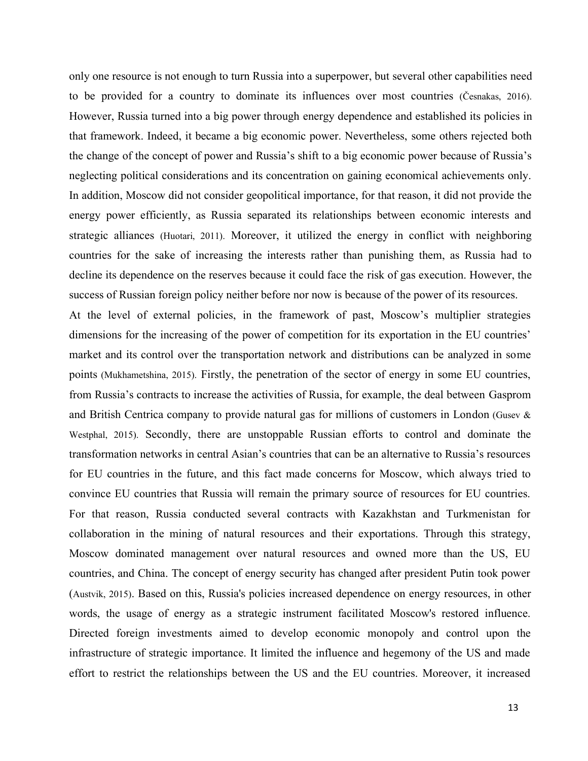only one resource is not enough to turn Russia into a superpower, but several other capabilities need to be provided for a country to dominate its influences over most countries (Česnakas, 2016). However, Russia turned into a big power through energy dependence and established its policies in that framework. Indeed, it became a big economic power. Nevertheless, some others rejected both the change of the concept of power and Russia's shift to a big economic power because of Russia's neglecting political considerations and its concentration on gaining economical achievements only. In addition, Moscow did not consider geopolitical importance, for that reason, it did not provide the energy power efficiently, as Russia separated its relationships between economic interests and strategic alliances (Huotari, 2011). Moreover, it utilized the energy in conflict with neighboring countries for the sake of increasing the interests rather than punishing them, as Russia had to decline its dependence on the reserves because it could face the risk of gas execution. However, the success of Russian foreign policy neither before nor now is because of the power of its resources.

At the level of external policies, in the framework of past, Moscow's multiplier strategies dimensions for the increasing of the power of competition for its exportation in the EU countries' market and its control over the transportation network and distributions can be analyzed in some points (Mukhametshina, 2015). Firstly, the penetration of the sector of energy in some EU countries, from Russia's contracts to increase the activities of Russia, for example, the deal between Gasprom and British Centrica company to provide natural gas for millions of customers in London (Gusev & Westphal, 2015). Secondly, there are unstoppable Russian efforts to control and dominate the transformation networks in central Asian's countries that can be an alternative to Russia's resources for EU countries in the future, and this fact made concerns for Moscow, which always tried to convince EU countries that Russia will remain the primary source of resources for EU countries. For that reason, Russia conducted several contracts with Kazakhstan and Turkmenistan for collaboration in the mining of natural resources and their exportations. Through this strategy, Moscow dominated management over natural resources and owned more than the US, EU countries, and China. The concept of energy security has changed after president Putin took power (Austvik, 2015). Based on this, Russia's policies increased dependence on energy resources, in other words, the usage of energy as a strategic instrument facilitated Moscow's restored influence. Directed foreign investments aimed to develop economic monopoly and control upon the infrastructure of strategic importance. It limited the influence and hegemony of the US and made effort to restrict the relationships between the US and the EU countries. Moreover, it increased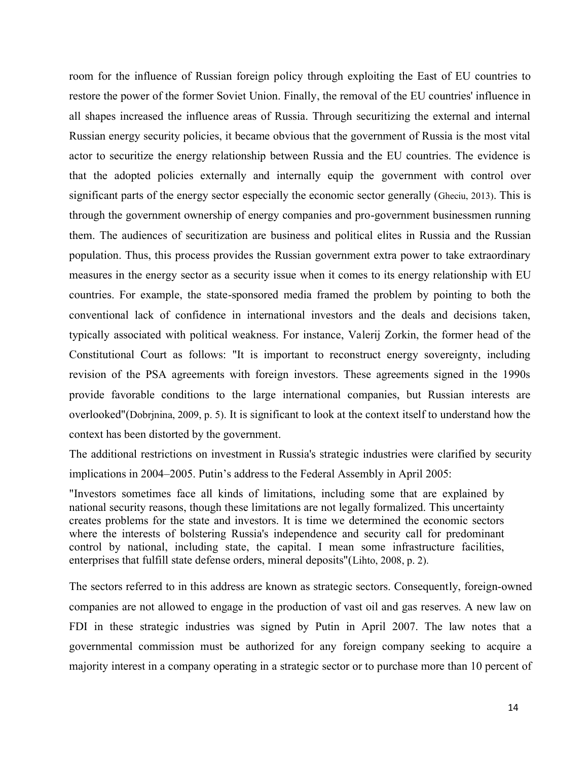room for the influence of Russian foreign policy through exploiting the East of EU countries to restore the power of the former Soviet Union. Finally, the removal of the EU countries' influence in all shapes increased the influence areas of Russia. Through securitizing the external and internal Russian energy security policies, it became obvious that the government of Russia is the most vital actor to securitize the energy relationship between Russia and the EU countries. The evidence is that the adopted policies externally and internally equip the government with control over significant parts of the energy sector especially the economic sector generally (Gheciu, 2013). This is through the government ownership of energy companies and pro-government businessmen running them. The audiences of securitization are business and political elites in Russia and the Russian population. Thus, this process provides the Russian government extra power to take extraordinary measures in the energy sector as a security issue when it comes to its energy relationship with EU countries. For example, the state-sponsored media framed the problem by pointing to both the conventional lack of confidence in international investors and the deals and decisions taken, typically associated with political weakness. For instance, Valerij Zorkin, the former head of the Constitutional Court as follows: "It is important to reconstruct energy sovereignty, including revision of the PSA agreements with foreign investors. These agreements signed in the 1990s provide favorable conditions to the large international companies, but Russian interests are overlooked"(Dobrjnina, 2009, p. 5). It is significant to look at the context itself to understand how the context has been distorted by the government.

The additional restrictions on investment in Russia's strategic industries were clarified by security implications in 2004–2005. Putin's address to the Federal Assembly in April 2005:

"Investors sometimes face all kinds of limitations, including some that are explained by national security reasons, though these limitations are not legally formalized. This uncertainty creates problems for the state and investors. It is time we determined the economic sectors where the interests of bolstering Russia's independence and security call for predominant control by national, including state, the capital. I mean some infrastructure facilities, enterprises that fulfill state defense orders, mineral deposits"(Lihto, 2008, p. 2).

The sectors referred to in this address are known as strategic sectors. Consequently, foreign-owned companies are not allowed to engage in the production of vast oil and gas reserves. A new law on FDI in these strategic industries was signed by Putin in April 2007. The law notes that a governmental commission must be authorized for any foreign company seeking to acquire a majority interest in a company operating in a strategic sector or to purchase more than 10 percent of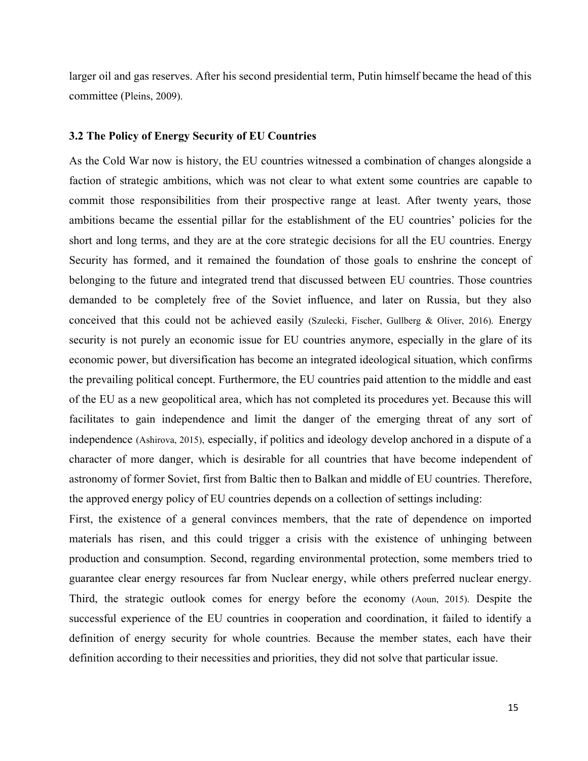larger oil and gas reserves. After his second presidential term, Putin himself became the head of this committee (Pleins, 2009).

#### **3.2 The Policy of Energy Security of EU Countries**

As the Cold War now is history, the EU countries witnessed a combination of changes alongside a faction of strategic ambitions, which was not clear to what extent some countries are capable to commit those responsibilities from their prospective range at least. After twenty years, those ambitions became the essential pillar for the establishment of the EU countries' policies for the short and long terms, and they are at the core strategic decisions for all the EU countries. Energy Security has formed, and it remained the foundation of those goals to enshrine the concept of belonging to the future and integrated trend that discussed between EU countries. Those countries demanded to be completely free of the Soviet influence, and later on Russia, but they also conceived that this could not be achieved easily (Szulecki, Fischer, Gullberg & Oliver, 2016). Energy security is not purely an economic issue for EU countries anymore, especially in the glare of its economic power, but diversification has become an integrated ideological situation, which confirms the prevailing political concept. Furthermore, the EU countries paid attention to the middle and east of the EU as a new geopolitical area, which has not completed its procedures yet. Because this will facilitates to gain independence and limit the danger of the emerging threat of any sort of independence (Ashirova, 2015), especially, if politics and ideology develop anchored in a dispute of a character of more danger, which is desirable for all countries that have become independent of astronomy of former Soviet, first from Baltic then to Balkan and middle of EU countries. Therefore, the approved energy policy of EU countries depends on a collection of settings including:

First, the existence of a general convinces members, that the rate of dependence on imported materials has risen, and this could trigger a crisis with the existence of unhinging between production and consumption. Second, regarding environmental protection, some members tried to guarantee clear energy resources far from Nuclear energy, while others preferred nuclear energy. Third, the strategic outlook comes for energy before the economy (Aoun, 2015). Despite the successful experience of the EU countries in cooperation and coordination, it failed to identify a definition of energy security for whole countries. Because the member states, each have their definition according to their necessities and priorities, they did not solve that particular issue.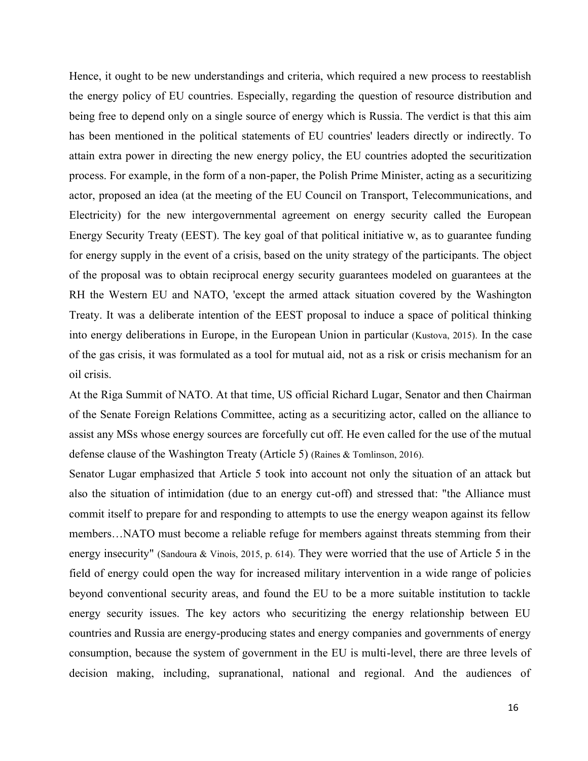Hence, it ought to be new understandings and criteria, which required a new process to reestablish the energy policy of EU countries. Especially, regarding the question of resource distribution and being free to depend only on a single source of energy which is Russia. The verdict is that this aim has been mentioned in the political statements of EU countries' leaders directly or indirectly. To attain extra power in directing the new energy policy, the EU countries adopted the securitization process. For example, in the form of a non-paper, the Polish Prime Minister, acting as a securitizing actor, proposed an idea (at the meeting of the EU Council on Transport, Telecommunications, and Electricity) for the new intergovernmental agreement on energy security called the European Energy Security Treaty (EEST). The key goal of that political initiative w, as to guarantee funding for energy supply in the event of a crisis, based on the unity strategy of the participants. The object of the proposal was to obtain reciprocal energy security guarantees modeled on guarantees at the RH the Western EU and NATO, 'except the armed attack situation covered by the Washington Treaty. It was a deliberate intention of the EEST proposal to induce a space of political thinking into energy deliberations in Europe, in the European Union in particular (Kustova, 2015). In the case of the gas crisis, it was formulated as a tool for mutual aid, not as a risk or crisis mechanism for an oil crisis.

At the Riga Summit of NATO. At that time, US official Richard Lugar, Senator and then Chairman of the Senate Foreign Relations Committee, acting as a securitizing actor, called on the alliance to assist any MSs whose energy sources are forcefully cut off. He even called for the use of the mutual defense clause of the Washington Treaty (Article 5) (Raines & Tomlinson, 2016).

Senator Lugar emphasized that Article 5 took into account not only the situation of an attack but also the situation of intimidation (due to an energy cut-off) and stressed that: "the Alliance must commit itself to prepare for and responding to attempts to use the energy weapon against its fellow members…NATO must become a reliable refuge for members against threats stemming from their energy insecurity" (Sandoura & Vinois, 2015, p. 614). They were worried that the use of Article 5 in the field of energy could open the way for increased military intervention in a wide range of policies beyond conventional security areas, and found the EU to be a more suitable institution to tackle energy security issues. The key actors who securitizing the energy relationship between EU countries and Russia are energy-producing states and energy companies and governments of energy consumption, because the system of government in the EU is multi-level, there are three levels of decision making, including, supranational, national and regional. And the audiences of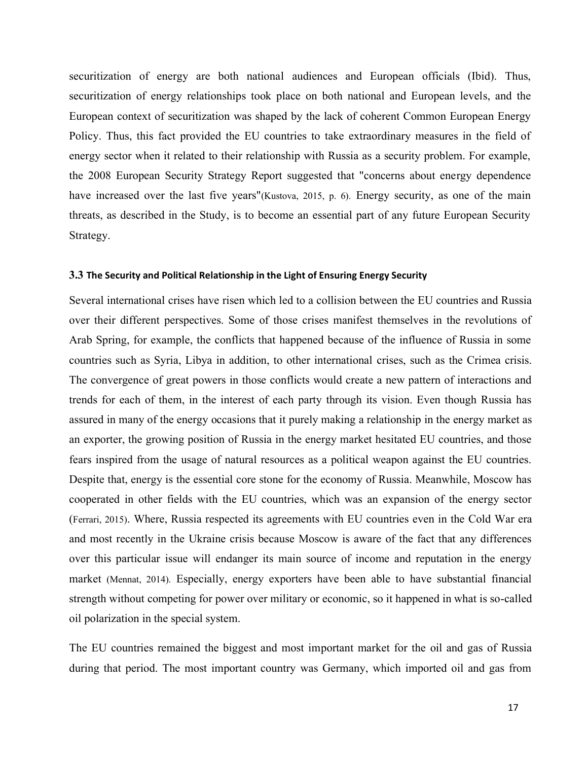securitization of energy are both national audiences and European officials (Ibid). Thus, securitization of energy relationships took place on both national and European levels, and the European context of securitization was shaped by the lack of coherent Common European Energy Policy. Thus, this fact provided the EU countries to take extraordinary measures in the field of energy sector when it related to their relationship with Russia as a security problem. For example, the 2008 European Security Strategy Report suggested that "concerns about energy dependence have increased over the last five years"(Kustova, 2015, p. 6). Energy security, as one of the main threats, as described in the Study, is to become an essential part of any future European Security Strategy.

#### **3.3 The Security and Political Relationship in the Light of Ensuring Energy Security**

Several international crises have risen which led to a collision between the EU countries and Russia over their different perspectives. Some of those crises manifest themselves in the revolutions of Arab Spring, for example, the conflicts that happened because of the influence of Russia in some countries such as Syria, Libya in addition, to other international crises, such as the Crimea crisis. The convergence of great powers in those conflicts would create a new pattern of interactions and trends for each of them, in the interest of each party through its vision. Even though Russia has assured in many of the energy occasions that it purely making a relationship in the energy market as an exporter, the growing position of Russia in the energy market hesitated EU countries, and those fears inspired from the usage of natural resources as a political weapon against the EU countries. Despite that, energy is the essential core stone for the economy of Russia. Meanwhile, Moscow has cooperated in other fields with the EU countries, which was an expansion of the energy sector (Ferrari, 2015). Where, Russia respected its agreements with EU countries even in the Cold War era and most recently in the Ukraine crisis because Moscow is aware of the fact that any differences over this particular issue will endanger its main source of income and reputation in the energy market (Mennat, 2014). Especially, energy exporters have been able to have substantial financial strength without competing for power over military or economic, so it happened in what is so-called oil polarization in the special system.

The EU countries remained the biggest and most important market for the oil and gas of Russia during that period. The most important country was Germany, which imported oil and gas from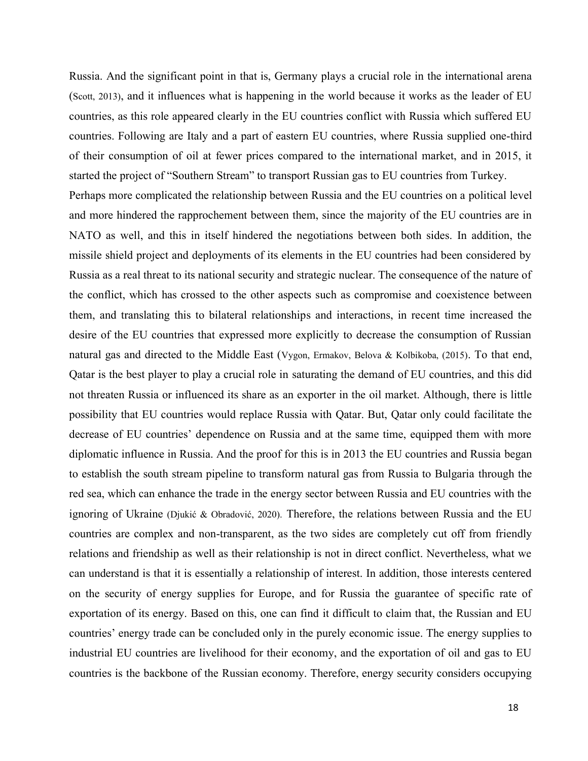Russia. And the significant point in that is, Germany plays a crucial role in the international arena (Scott, 2013), and it influences what is happening in the world because it works as the leader of EU countries, as this role appeared clearly in the EU countries conflict with Russia which suffered EU countries. Following are Italy and a part of eastern EU countries, where Russia supplied one-third of their consumption of oil at fewer prices compared to the international market, and in 2015, it started the project of "Southern Stream" to transport Russian gas to EU countries from Turkey.

Perhaps more complicated the relationship between Russia and the EU countries on a political level and more hindered the rapprochement between them, since the majority of the EU countries are in NATO as well, and this in itself hindered the negotiations between both sides. In addition, the missile shield project and deployments of its elements in the EU countries had been considered by Russia as a real threat to its national security and strategic nuclear. The consequence of the nature of the conflict, which has crossed to the other aspects such as compromise and coexistence between them, and translating this to bilateral relationships and interactions, in recent time increased the desire of the EU countries that expressed more explicitly to decrease the consumption of Russian natural gas and directed to the Middle East (Vygon, Ermakov, Belova & Kolbikoba, (2015). To that end, Qatar is the best player to play a crucial role in saturating the demand of EU countries, and this did not threaten Russia or influenced its share as an exporter in the oil market. Although, there is little possibility that EU countries would replace Russia with Qatar. But, Qatar only could facilitate the decrease of EU countries' dependence on Russia and at the same time, equipped them with more diplomatic influence in Russia. And the proof for this is in 2013 the EU countries and Russia began to establish the south stream pipeline to transform natural gas from Russia to Bulgaria through the red sea, which can enhance the trade in the energy sector between Russia and EU countries with the ignoring of Ukraine (Djukić & Obradović, 2020). Therefore, the relations between Russia and the EU countries are complex and non-transparent, as the two sides are completely cut off from friendly relations and friendship as well as their relationship is not in direct conflict. Nevertheless, what we can understand is that it is essentially a relationship of interest. In addition, those interests centered on the security of energy supplies for Europe, and for Russia the guarantee of specific rate of exportation of its energy. Based on this, one can find it difficult to claim that, the Russian and EU countries' energy trade can be concluded only in the purely economic issue. The energy supplies to industrial EU countries are livelihood for their economy, and the exportation of oil and gas to EU countries is the backbone of the Russian economy. Therefore, energy security considers occupying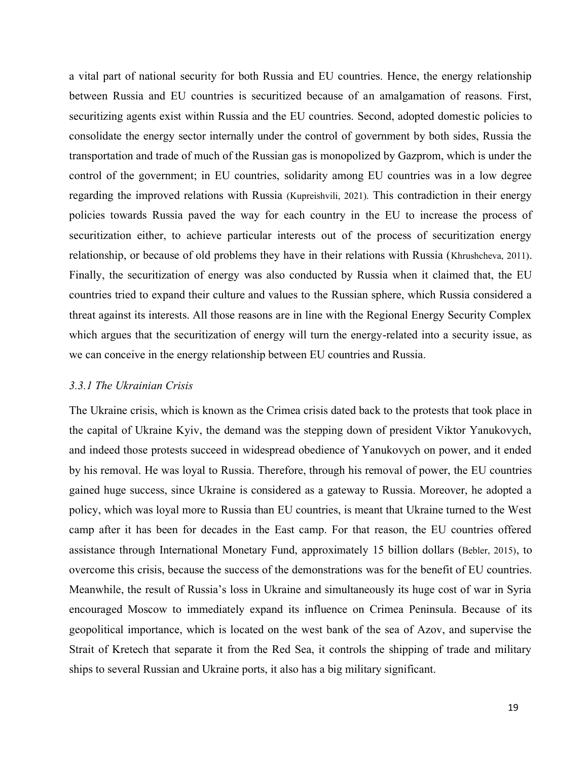a vital part of national security for both Russia and EU countries. Hence, the energy relationship between Russia and EU countries is securitized because of an amalgamation of reasons. First, securitizing agents exist within Russia and the EU countries. Second, adopted domestic policies to consolidate the energy sector internally under the control of government by both sides, Russia the transportation and trade of much of the Russian gas is monopolized by Gazprom, which is under the control of the government; in EU countries, solidarity among EU countries was in a low degree regarding the improved relations with Russia (Kupreishvili, 2021). This contradiction in their energy policies towards Russia paved the way for each country in the EU to increase the process of securitization either, to achieve particular interests out of the process of securitization energy relationship, or because of old problems they have in their relations with Russia (Khrushcheva, 2011). Finally, the securitization of energy was also conducted by Russia when it claimed that, the EU countries tried to expand their culture and values to the Russian sphere, which Russia considered a threat against its interests. All those reasons are in line with the Regional Energy Security Complex which argues that the securitization of energy will turn the energy-related into a security issue, as we can conceive in the energy relationship between EU countries and Russia.

## *3.3.1 The Ukrainian Crisis*

The Ukraine crisis, which is known as the Crimea crisis dated back to the protests that took place in the capital of Ukraine Kyiv, the demand was the stepping down of president Viktor Yanukovych, and indeed those protests succeed in widespread obedience of Yanukovych on power, and it ended by his removal. He was loyal to Russia. Therefore, through his removal of power, the EU countries gained huge success, since Ukraine is considered as a gateway to Russia. Moreover, he adopted a policy, which was loyal more to Russia than EU countries, is meant that Ukraine turned to the West camp after it has been for decades in the East camp. For that reason, the EU countries offered assistance through International Monetary Fund, approximately 15 billion dollars (Bebler, 2015), to overcome this crisis, because the success of the demonstrations was for the benefit of EU countries. Meanwhile, the result of Russia's loss in Ukraine and simultaneously its huge cost of war in Syria encouraged Moscow to immediately expand its influence on Crimea Peninsula. Because of its geopolitical importance, which is located on the west bank of the sea of Azov, and supervise the Strait of Kretech that separate it from the Red Sea, it controls the shipping of trade and military ships to several Russian and Ukraine ports, it also has a big military significant.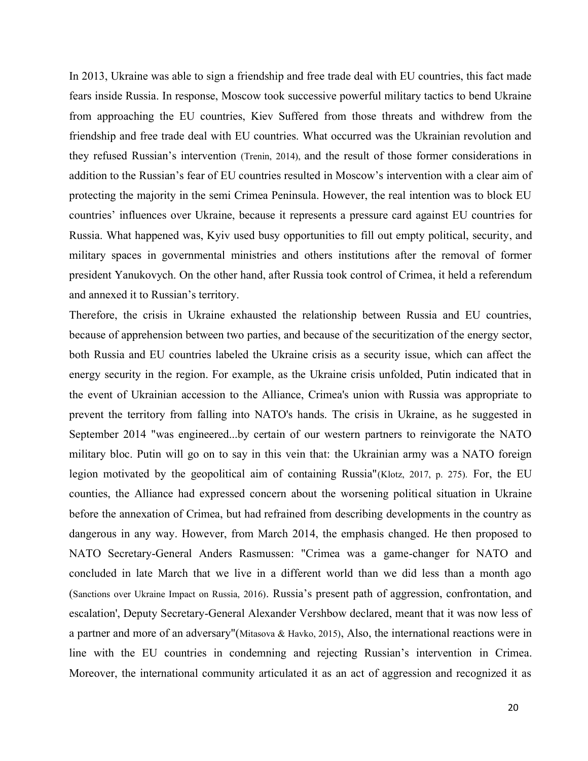In 2013, Ukraine was able to sign a friendship and free trade deal with EU countries, this fact made fears inside Russia. In response, Moscow took successive powerful military tactics to bend Ukraine from approaching the EU countries, Kiev Suffered from those threats and withdrew from the friendship and free trade deal with EU countries. What occurred was the Ukrainian revolution and they refused Russian's intervention (Trenin, 2014), and the result of those former considerations in addition to the Russian's fear of EU countries resulted in Moscow's intervention with a clear aim of protecting the majority in the semi Crimea Peninsula. However, the real intention was to block EU countries' influences over Ukraine, because it represents a pressure card against EU countries for Russia. What happened was, Kyiv used busy opportunities to fill out empty political, security, and military spaces in governmental ministries and others institutions after the removal of former president Yanukovych. On the other hand, after Russia took control of Crimea, it held a referendum and annexed it to Russian's territory.

Therefore, the crisis in Ukraine exhausted the relationship between Russia and EU countries, because of apprehension between two parties, and because of the securitization of the energy sector, both Russia and EU countries labeled the Ukraine crisis as a security issue, which can affect the energy security in the region. For example, as the Ukraine crisis unfolded, Putin indicated that in the event of Ukrainian accession to the Alliance, Crimea's union with Russia was appropriate to prevent the territory from falling into NATO's hands. The crisis in Ukraine, as he suggested in September 2014 "was engineered...by certain of our western partners to reinvigorate the NATO military bloc. Putin will go on to say in this vein that: the Ukrainian army was a NATO foreign legion motivated by the geopolitical aim of containing Russia"(Klotz, 2017, p. 275). For, the EU counties, the Alliance had expressed concern about the worsening political situation in Ukraine before the annexation of Crimea, but had refrained from describing developments in the country as dangerous in any way. However, from March 2014, the emphasis changed. He then proposed to NATO Secretary-General Anders Rasmussen: "Crimea was a game-changer for NATO and concluded in late March that we live in a different world than we did less than a month ago (Sanctions over Ukraine Impact on Russia, 2016). Russia's present path of aggression, confrontation, and escalation', Deputy Secretary-General Alexander Vershbow declared, meant that it was now less of a partner and more of an adversary"(Mitasova & Havko, 2015), Also, the international reactions were in line with the EU countries in condemning and rejecting Russian's intervention in Crimea. Moreover, the international community articulated it as an act of aggression and recognized it as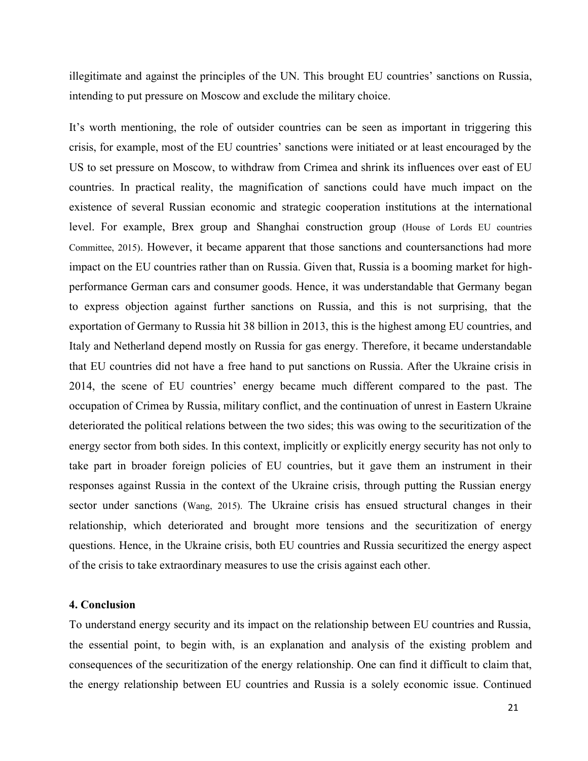illegitimate and against the principles of the UN. This brought EU countries' sanctions on Russia, intending to put pressure on Moscow and exclude the military choice.

It's worth mentioning, the role of outsider countries can be seen as important in triggering this crisis, for example, most of the EU countries' sanctions were initiated or at least encouraged by the US to set pressure on Moscow, to withdraw from Crimea and shrink its influences over east of EU countries. In practical reality, the magnification of sanctions could have much impact on the existence of several Russian economic and strategic cooperation institutions at the international level. For example, Brex group and Shanghai construction group (House of Lords EU countries Committee, 2015). However, it became apparent that those sanctions and countersanctions had more impact on the EU countries rather than on Russia. Given that, Russia is a booming market for highperformance German cars and consumer goods. Hence, it was understandable that Germany began to express objection against further sanctions on Russia, and this is not surprising, that the exportation of Germany to Russia hit 38 billion in 2013, this is the highest among EU countries, and Italy and Netherland depend mostly on Russia for gas energy. Therefore, it became understandable that EU countries did not have a free hand to put sanctions on Russia. After the Ukraine crisis in 2014, the scene of EU countries' energy became much different compared to the past. The occupation of Crimea by Russia, military conflict, and the continuation of unrest in Eastern Ukraine deteriorated the political relations between the two sides; this was owing to the securitization of the energy sector from both sides. In this context, implicitly or explicitly energy security has not only to take part in broader foreign policies of EU countries, but it gave them an instrument in their responses against Russia in the context of the Ukraine crisis, through putting the Russian energy sector under sanctions (Wang, 2015). The Ukraine crisis has ensued structural changes in their relationship, which deteriorated and brought more tensions and the securitization of energy questions. Hence, in the Ukraine crisis, both EU countries and Russia securitized the energy aspect of the crisis to take extraordinary measures to use the crisis against each other.

## **4. Conclusion**

To understand energy security and its impact on the relationship between EU countries and Russia, the essential point, to begin with, is an explanation and analysis of the existing problem and consequences of the securitization of the energy relationship. One can find it difficult to claim that, the energy relationship between EU countries and Russia is a solely economic issue. Continued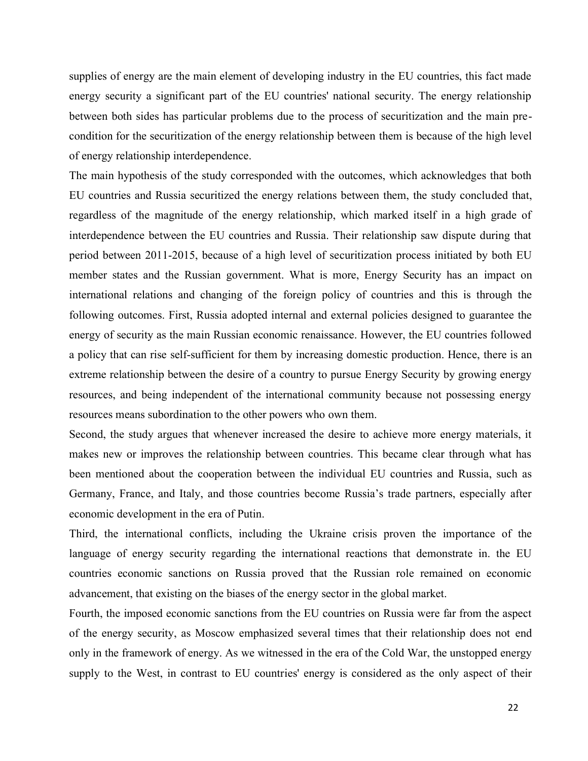supplies of energy are the main element of developing industry in the EU countries, this fact made energy security a significant part of the EU countries' national security. The energy relationship between both sides has particular problems due to the process of securitization and the main precondition for the securitization of the energy relationship between them is because of the high level of energy relationship interdependence.

The main hypothesis of the study corresponded with the outcomes, which acknowledges that both EU countries and Russia securitized the energy relations between them, the study concluded that, regardless of the magnitude of the energy relationship, which marked itself in a high grade of interdependence between the EU countries and Russia. Their relationship saw dispute during that period between 2011-2015, because of a high level of securitization process initiated by both EU member states and the Russian government. What is more, Energy Security has an impact on international relations and changing of the foreign policy of countries and this is through the following outcomes. First, Russia adopted internal and external policies designed to guarantee the energy of security as the main Russian economic renaissance. However, the EU countries followed a policy that can rise self-sufficient for them by increasing domestic production. Hence, there is an extreme relationship between the desire of a country to pursue Energy Security by growing energy resources, and being independent of the international community because not possessing energy resources means subordination to the other powers who own them.

Second, the study argues that whenever increased the desire to achieve more energy materials, it makes new or improves the relationship between countries. This became clear through what has been mentioned about the cooperation between the individual EU countries and Russia, such as Germany, France, and Italy, and those countries become Russia's trade partners, especially after economic development in the era of Putin.

Third, the international conflicts, including the Ukraine crisis proven the importance of the language of energy security regarding the international reactions that demonstrate in. the EU countries economic sanctions on Russia proved that the Russian role remained on economic advancement, that existing on the biases of the energy sector in the global market.

Fourth, the imposed economic sanctions from the EU countries on Russia were far from the aspect of the energy security, as Moscow emphasized several times that their relationship does not end only in the framework of energy. As we witnessed in the era of the Cold War, the unstopped energy supply to the West, in contrast to EU countries' energy is considered as the only aspect of their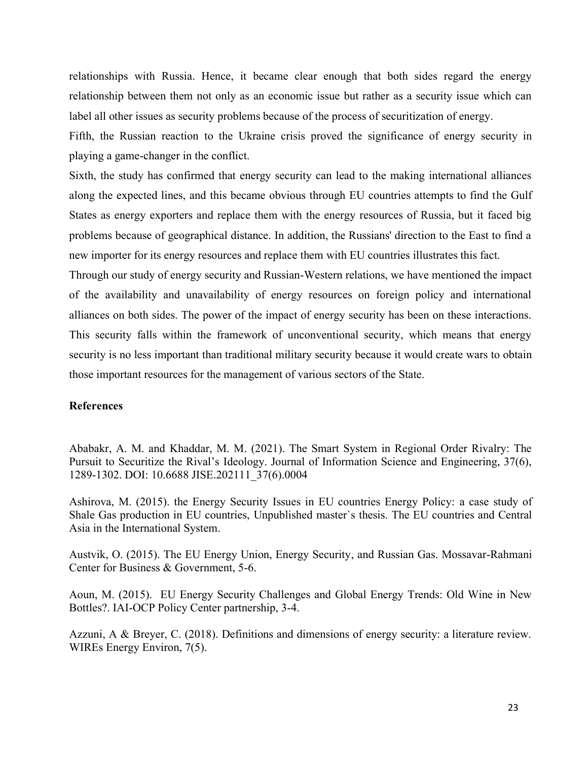relationships with Russia. Hence, it became clear enough that both sides regard the energy relationship between them not only as an economic issue but rather as a security issue which can label all other issues as security problems because of the process of securitization of energy.

Fifth, the Russian reaction to the Ukraine crisis proved the significance of energy security in playing a game-changer in the conflict.

Sixth, the study has confirmed that energy security can lead to the making international alliances along the expected lines, and this became obvious through EU countries attempts to find the Gulf States as energy exporters and replace them with the energy resources of Russia, but it faced big problems because of geographical distance. In addition, the Russians' direction to the East to find a new importer for its energy resources and replace them with EU countries illustrates this fact.

Through our study of energy security and Russian-Western relations, we have mentioned the impact of the availability and unavailability of energy resources on foreign policy and international alliances on both sides. The power of the impact of energy security has been on these interactions. This security falls within the framework of unconventional security, which means that energy security is no less important than traditional military security because it would create wars to obtain those important resources for the management of various sectors of the State.

## **References**

Ababakr, A. M. and Khaddar, M. M. (2021). The Smart System in Regional Order Rivalry: The Pursuit to Securitize the Rival's Ideology. Journal of Information Science and Engineering, 37(6), 1289-1302. DOI: 10.6688 JISE.202111\_37(6).0004

Ashirova, M. (2015). the Energy Security Issues in EU countries Energy Policy: a case study of Shale Gas production in EU countries, Unpublished master`s thesis. The EU countries and Central Asia in the International System.

Austvik, O. (2015). The EU Energy Union, Energy Security, and Russian Gas. Mossavar-Rahmani Center for Business & Government, 5-6.

Aoun, M. (2015). EU Energy Security Challenges and Global Energy Trends: Old Wine in New Bottles?. IAI-OCP Policy Center partnership, 3-4.

Azzuni, A & Breyer, C. (2018). Definitions and dimensions of energy security: a literature review. WIREs Energy Environ, 7(5).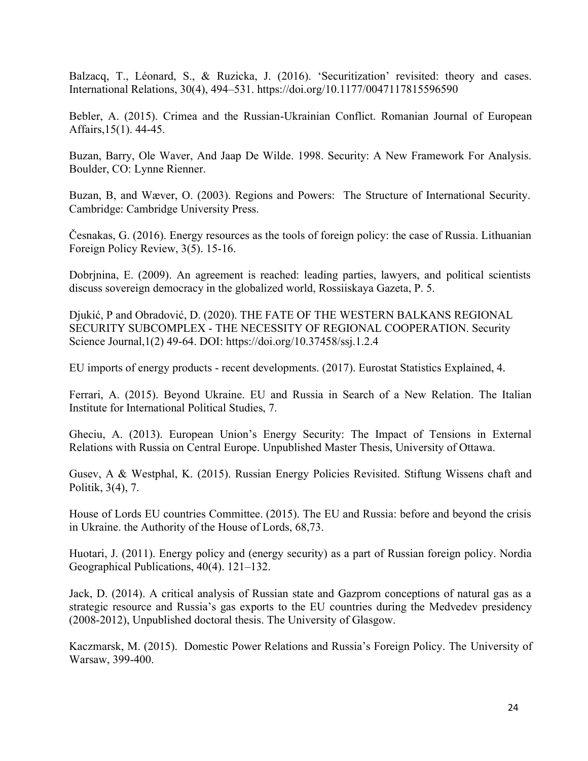Balzacq, T., Léonard, S., & Ruzicka, J. (2016). 'Securitization' revisited: theory and cases. International Relations, 30(4), 494–531. https://doi.org/10.1177/0047117815596590

Bebler, A. (2015). Crimea and the Russian-Ukrainian Conflict. Romanian Journal of European Affairs,15(1). 44-45.

Buzan, Barry, Ole Waver, And Jaap De Wilde. 1998. Security: A New Framework For Analysis. Boulder, CO: Lynne Rienner.

Buzan, B, and Wæver, O. (2003). Regions and Powers: The Structure of International Security. Cambridge: Cambridge University Press.

Česnakas, G. (2016). Energy resources as the tools of foreign policy: the case of Russia. Lithuanian Foreign Policy Review, 3(5). 15-16.

Dobrjnina, E. (2009). An agreement is reached: leading parties, lawyers, and political scientists discuss sovereign democracy in the globalized world, Rossiiskaya Gazeta, P. 5.

Djukić, P and Obradović, D. (2020). THE FATE OF THE WESTERN BALKANS REGIONAL SECURITY SUBCOMPLEX - THE NECESSITY OF REGIONAL COOPERATION. Security Science Journal,1(2) 49-64. DOI: https://doi.org/10.37458/ssj.1.2.4

EU imports of energy products - recent developments. (2017). Eurostat Statistics Explained, 4.

Ferrari, A. (2015). Beyond Ukraine. EU and Russia in Search of a New Relation. The Italian Institute for International Political Studies, 7.

Gheciu, A. (2013). European Union's Energy Security: The Impact of Tensions in External Relations with Russia on Central Europe. Unpublished Master Thesis, University of Ottawa.

Gusev, A & Westphal, K. (2015). Russian Energy Policies Revisited. Stiftung Wissens chaft and Politik, 3(4), 7.

House of Lords EU countries Committee. (2015). The EU and Russia: before and beyond the crisis in Ukraine. the Authority of the House of Lords, 68,73.

Huotari, J. (2011). Energy policy and (energy security) as a part of Russian foreign policy. Nordia Geographical Publications, 40(4). 121–132.

Jack, D. (2014). A critical analysis of Russian state and Gazprom conceptions of natural gas as a strategic resource and Russia's gas exports to the EU countries during the Medvedev presidency (2008-2012), Unpublished doctoral thesis. The University of Glasgow.

Kaczmarsk, M. (2015). Domestic Power Relations and Russia's Foreign Policy. The University of Warsaw, 399-400.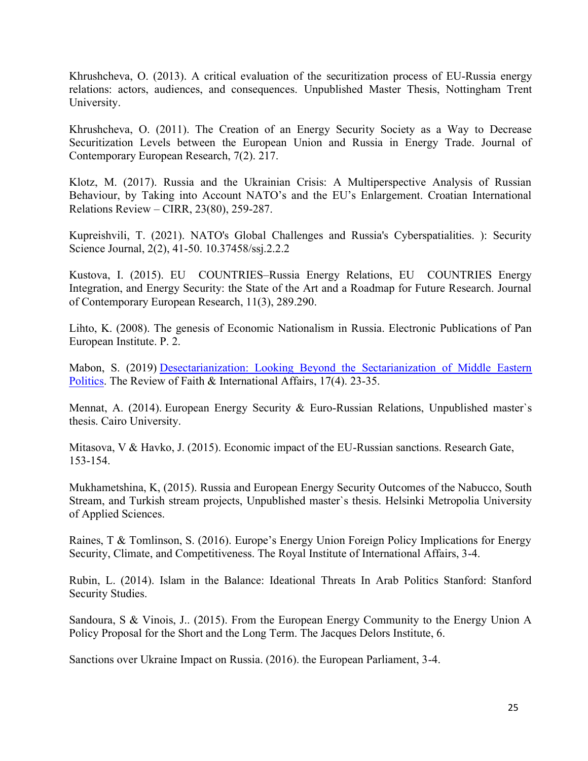Khrushcheva, O. (2013). A critical evaluation of the securitization process of EU-Russia energy relations: actors, audiences, and consequences. Unpublished Master Thesis, Nottingham Trent University.

Khrushcheva, O. (2011). The Creation of an Energy Security Society as a Way to Decrease Securitization Levels between the European Union and Russia in Energy Trade. Journal of Contemporary European Research, 7(2). 217.

Klotz, M. (2017). Russia and the Ukrainian Crisis: A Multiperspective Analysis of Russian Behaviour, by Taking into Account NATO's and the EU's Enlargement. Croatian International Relations Review – CIRR, 23(80), 259-287.

Kupreishvili, T. (2021). NATO's Global Challenges and Russia's Cyberspatialities. ): Security Science Journal, 2(2), 41-50. 10.37458/ssj.2.2.2

Kustova, I. (2015). EU COUNTRIES–Russia Energy Relations, EU COUNTRIES Energy Integration, and Energy Security: the State of the Art and a Roadmap for Future Research. Journal of Contemporary European Research, 11(3), 289.290.

Lihto, K. (2008). The genesis of Economic Nationalism in Russia. Electronic Publications of Pan European Institute. P. 2.

Mabon, S. (2019) [Desectarianization: Looking Beyond the Sectarianization of Middle Eastern](https://www.tandfonline.com/doi/abs/10.1080/15570274.2019.1681776)  [Politics.](https://www.tandfonline.com/doi/abs/10.1080/15570274.2019.1681776) The Review of Faith & International Affairs, 17(4). 23-35.

Mennat, A. (2014). European Energy Security & Euro-Russian Relations, Unpublished master`s thesis. Cairo University.

Mitasova, V & Havko, J. (2015). Economic impact of the EU-Russian sanctions. Research Gate, 153-154.

Mukhametshina, K, (2015). Russia and European Energy Security Outcomes of the Nabucco, South Stream, and Turkish stream projects, Unpublished master`s thesis. Helsinki Metropolia University of Applied Sciences.

Raines, T & Tomlinson, S. (2016). Europe's Energy Union Foreign Policy Implications for Energy Security, Climate, and Competitiveness. The Royal Institute of International Affairs, 3-4.

Rubin, L. (2014). Islam in the Balance: Ideational Threats In Arab Politics Stanford: Stanford Security Studies.

Sandoura, S & Vinois, J.. (2015). From the European Energy Community to the Energy Union A Policy Proposal for the Short and the Long Term. The Jacques Delors Institute, 6.

Sanctions over Ukraine Impact on Russia. (2016). the European Parliament, 3-4.